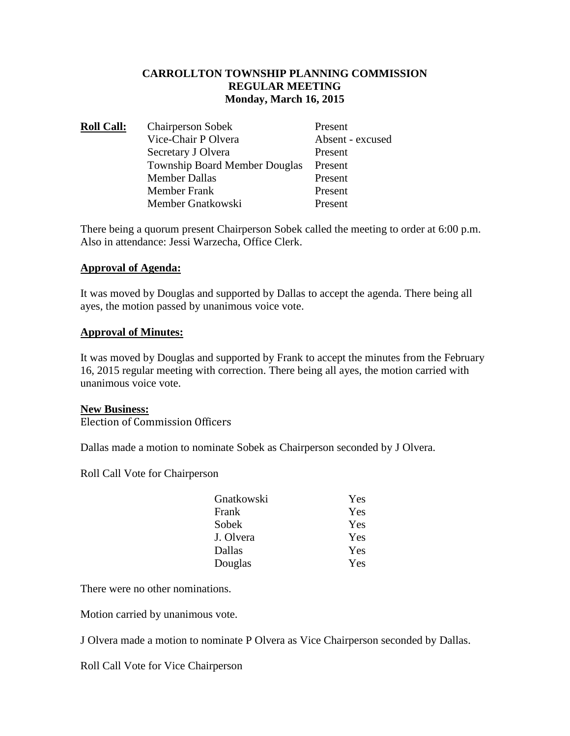### **CARROLLTON TOWNSHIP PLANNING COMMISSION REGULAR MEETING Monday, March 16, 2015**

| <b>Roll Call:</b> | <b>Chairperson Sobek</b>             | Present          |
|-------------------|--------------------------------------|------------------|
|                   | Vice-Chair P Olvera                  | Absent - excused |
|                   | Secretary J Olvera                   | Present          |
|                   | <b>Township Board Member Douglas</b> | Present          |
|                   | <b>Member Dallas</b>                 | Present          |
|                   | <b>Member Frank</b>                  | Present          |
|                   | Member Gnatkowski                    | Present          |

There being a quorum present Chairperson Sobek called the meeting to order at 6:00 p.m. Also in attendance: Jessi Warzecha, Office Clerk.

### **Approval of Agenda:**

It was moved by Douglas and supported by Dallas to accept the agenda. There being all ayes, the motion passed by unanimous voice vote.

### **Approval of Minutes:**

It was moved by Douglas and supported by Frank to accept the minutes from the February 16, 2015 regular meeting with correction. There being all ayes, the motion carried with unanimous voice vote.

### **New Business:**

Election of Commission Officers

Dallas made a motion to nominate Sobek as Chairperson seconded by J Olvera.

Roll Call Vote for Chairperson

| Gnatkowski | Yes |
|------------|-----|
| Frank      | Yes |
| Sobek      | Yes |
| J. Olvera  | Yes |
| Dallas     | Yes |
| Douglas    | Yes |

There were no other nominations.

Motion carried by unanimous vote.

J Olvera made a motion to nominate P Olvera as Vice Chairperson seconded by Dallas.

Roll Call Vote for Vice Chairperson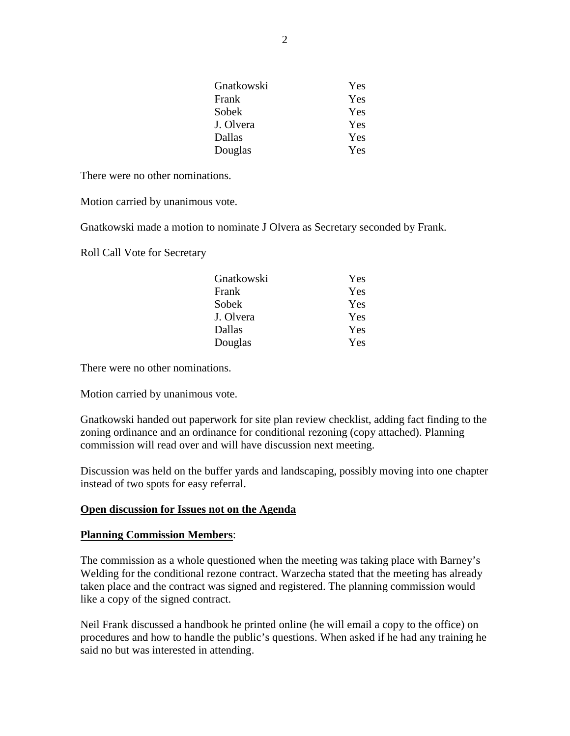| Gnatkowski | Yes |
|------------|-----|
| Frank      | Yes |
| Sobek      | Yes |
| J. Olvera  | Yes |
| Dallas     | Yes |
| Douglas    | Yes |

There were no other nominations.

Motion carried by unanimous vote.

Gnatkowski made a motion to nominate J Olvera as Secretary seconded by Frank.

Roll Call Vote for Secretary

| Gnatkowski | Yes |
|------------|-----|
| Frank      | Yes |
| Sobek      | Yes |
| J. Olvera  | Yes |
| Dallas     | Yes |
| Douglas    | Yes |

There were no other nominations.

Motion carried by unanimous vote.

Gnatkowski handed out paperwork for site plan review checklist, adding fact finding to the zoning ordinance and an ordinance for conditional rezoning (copy attached). Planning commission will read over and will have discussion next meeting.

Discussion was held on the buffer yards and landscaping, possibly moving into one chapter instead of two spots for easy referral.

### **Open discussion for Issues not on the Agenda**

#### **Planning Commission Members**:

The commission as a whole questioned when the meeting was taking place with Barney's Welding for the conditional rezone contract. Warzecha stated that the meeting has already taken place and the contract was signed and registered. The planning commission would like a copy of the signed contract.

Neil Frank discussed a handbook he printed online (he will email a copy to the office) on procedures and how to handle the public's questions. When asked if he had any training he said no but was interested in attending.